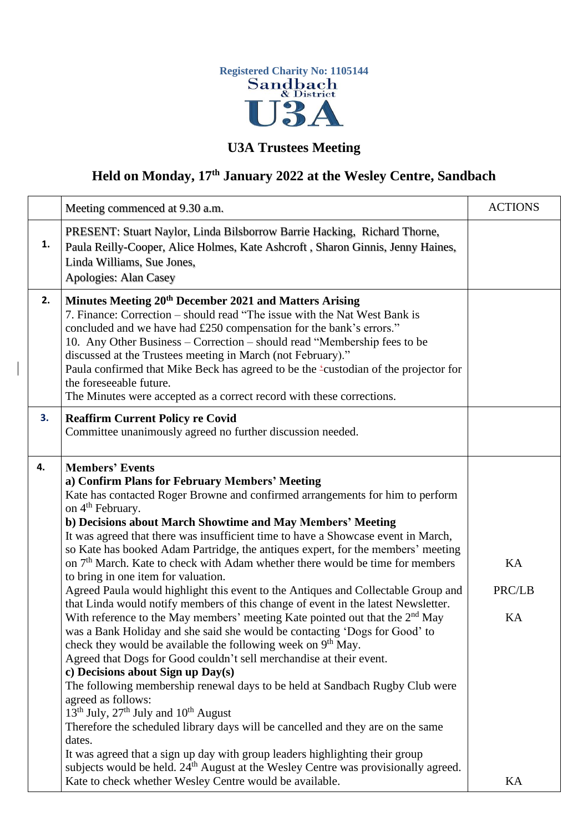

## **U3A Trustees Meeting**

## **Held on Monday, 17th January 2022 at the Wesley Centre, Sandbach**

|    | Meeting commenced at 9.30 a.m.                                                                                                                                                                                                                                                                                                                                                                                                                                                                                                                                                                                                                                                                                                                                                                                                                                                                                                                                                                                                                                                                                                                                                                                                                                                                                                                                                                                                                                                                                                                                                                       | <b>ACTIONS</b>           |
|----|------------------------------------------------------------------------------------------------------------------------------------------------------------------------------------------------------------------------------------------------------------------------------------------------------------------------------------------------------------------------------------------------------------------------------------------------------------------------------------------------------------------------------------------------------------------------------------------------------------------------------------------------------------------------------------------------------------------------------------------------------------------------------------------------------------------------------------------------------------------------------------------------------------------------------------------------------------------------------------------------------------------------------------------------------------------------------------------------------------------------------------------------------------------------------------------------------------------------------------------------------------------------------------------------------------------------------------------------------------------------------------------------------------------------------------------------------------------------------------------------------------------------------------------------------------------------------------------------------|--------------------------|
| 1. | PRESENT: Stuart Naylor, Linda Bilsborrow Barrie Hacking, Richard Thorne,<br>Paula Reilly-Cooper, Alice Holmes, Kate Ashcroft, Sharon Ginnis, Jenny Haines,<br>Linda Williams, Sue Jones,<br>Apologies: Alan Casey                                                                                                                                                                                                                                                                                                                                                                                                                                                                                                                                                                                                                                                                                                                                                                                                                                                                                                                                                                                                                                                                                                                                                                                                                                                                                                                                                                                    |                          |
| 2. | Minutes Meeting 20 <sup>th</sup> December 2021 and Matters Arising<br>7. Finance: Correction – should read "The issue with the Nat West Bank is<br>concluded and we have had £250 compensation for the bank's errors."<br>10. Any Other Business – Correction – should read "Membership fees to be<br>discussed at the Trustees meeting in March (not February)."<br>Paula confirmed that Mike Beck has agreed to be the 'custodian of the projector for<br>the foreseeable future.<br>The Minutes were accepted as a correct record with these corrections.                                                                                                                                                                                                                                                                                                                                                                                                                                                                                                                                                                                                                                                                                                                                                                                                                                                                                                                                                                                                                                         |                          |
| 3. | <b>Reaffirm Current Policy re Covid</b><br>Committee unanimously agreed no further discussion needed.                                                                                                                                                                                                                                                                                                                                                                                                                                                                                                                                                                                                                                                                                                                                                                                                                                                                                                                                                                                                                                                                                                                                                                                                                                                                                                                                                                                                                                                                                                |                          |
| 4. | <b>Members' Events</b><br>a) Confirm Plans for February Members' Meeting<br>Kate has contacted Roger Browne and confirmed arrangements for him to perform<br>on 4 <sup>th</sup> February.<br>b) Decisions about March Showtime and May Members' Meeting<br>It was agreed that there was insufficient time to have a Showcase event in March,<br>so Kate has booked Adam Partridge, the antiques expert, for the members' meeting<br>on 7 <sup>th</sup> March. Kate to check with Adam whether there would be time for members<br>to bring in one item for valuation.<br>Agreed Paula would highlight this event to the Antiques and Collectable Group and<br>that Linda would notify members of this change of event in the latest Newsletter.<br>With reference to the May members' meeting Kate pointed out that the $2nd$ May<br>was a Bank Holiday and she said she would be contacting 'Dogs for Good' to<br>check they would be available the following week on 9 <sup>th</sup> May.<br>Agreed that Dogs for Good couldn't sell merchandise at their event.<br>c) Decisions about Sign up Day(s)<br>The following membership renewal days to be held at Sandbach Rugby Club were<br>agreed as follows:<br>$13th$ July, $27th$ July and $10th$ August<br>Therefore the scheduled library days will be cancelled and they are on the same<br>dates.<br>It was agreed that a sign up day with group leaders highlighting their group<br>subjects would be held. 24 <sup>th</sup> August at the Wesley Centre was provisionally agreed.<br>Kate to check whether Wesley Centre would be available. | KA<br>PRC/LB<br>KA<br>KA |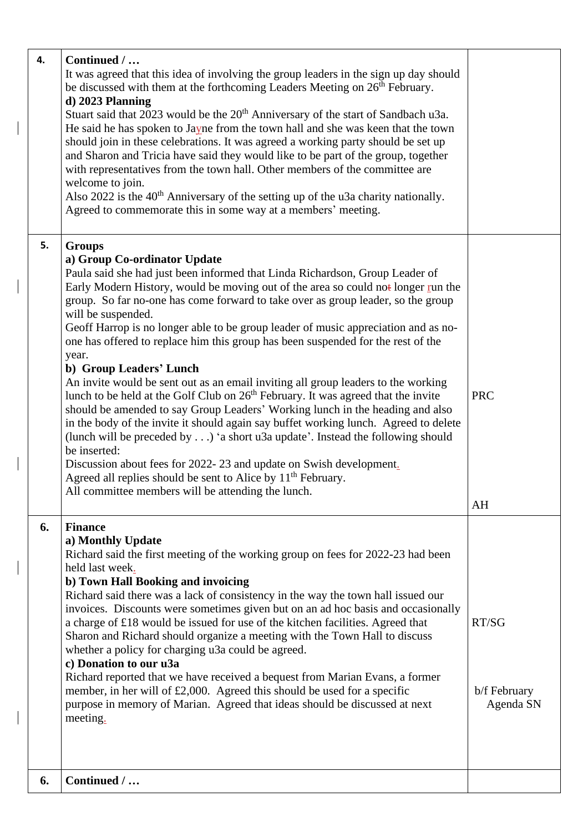| 4. | Continued /<br>It was agreed that this idea of involving the group leaders in the sign up day should<br>be discussed with them at the forthcoming Leaders Meeting on 26 <sup>th</sup> February.<br>d) 2023 Planning<br>Stuart said that 2023 would be the 20 <sup>th</sup> Anniversary of the start of Sandbach u3a.<br>He said he has spoken to Jayne from the town hall and she was keen that the town<br>should join in these celebrations. It was agreed a working party should be set up<br>and Sharon and Tricia have said they would like to be part of the group, together<br>with representatives from the town hall. Other members of the committee are<br>welcome to join.<br>Also 2022 is the 40 <sup>th</sup> Anniversary of the setting up of the u3a charity nationally.<br>Agreed to commemorate this in some way at a members' meeting.                                                                                                                                                                                                                                                                                                                                                            |                                    |
|----|---------------------------------------------------------------------------------------------------------------------------------------------------------------------------------------------------------------------------------------------------------------------------------------------------------------------------------------------------------------------------------------------------------------------------------------------------------------------------------------------------------------------------------------------------------------------------------------------------------------------------------------------------------------------------------------------------------------------------------------------------------------------------------------------------------------------------------------------------------------------------------------------------------------------------------------------------------------------------------------------------------------------------------------------------------------------------------------------------------------------------------------------------------------------------------------------------------------------|------------------------------------|
| 5. | <b>Groups</b><br>a) Group Co-ordinator Update<br>Paula said she had just been informed that Linda Richardson, Group Leader of<br>Early Modern History, would be moving out of the area so could not longer run the<br>group. So far no-one has come forward to take over as group leader, so the group<br>will be suspended.<br>Geoff Harrop is no longer able to be group leader of music appreciation and as no-<br>one has offered to replace him this group has been suspended for the rest of the<br>year.<br>b) Group Leaders' Lunch<br>An invite would be sent out as an email inviting all group leaders to the working<br>lunch to be held at the Golf Club on 26 <sup>th</sup> February. It was agreed that the invite<br>should be amended to say Group Leaders' Working lunch in the heading and also<br>in the body of the invite it should again say buffet working lunch. Agreed to delete<br>(lunch will be preceded by) 'a short u3a update'. Instead the following should<br>be inserted:<br>Discussion about fees for 2022-23 and update on Swish development.<br>Agreed all replies should be sent to Alice by 11 <sup>th</sup> February.<br>All committee members will be attending the lunch. | <b>PRC</b><br>AH                   |
| 6. | <b>Finance</b><br>a) Monthly Update<br>Richard said the first meeting of the working group on fees for 2022-23 had been<br>held last week.<br>b) Town Hall Booking and invoicing<br>Richard said there was a lack of consistency in the way the town hall issued our<br>invoices. Discounts were sometimes given but on an ad hoc basis and occasionally<br>a charge of £18 would be issued for use of the kitchen facilities. Agreed that<br>Sharon and Richard should organize a meeting with the Town Hall to discuss<br>whether a policy for charging u3a could be agreed.<br>c) Donation to our u3a<br>Richard reported that we have received a bequest from Marian Evans, a former<br>member, in her will of $£2,000$ . Agreed this should be used for a specific<br>purpose in memory of Marian. Agreed that ideas should be discussed at next<br>meeting.                                                                                                                                                                                                                                                                                                                                                   | RT/SG<br>b/f February<br>Agenda SN |
| 6. | Continued /                                                                                                                                                                                                                                                                                                                                                                                                                                                                                                                                                                                                                                                                                                                                                                                                                                                                                                                                                                                                                                                                                                                                                                                                         |                                    |

 $\overline{\phantom{a}}$ 

 $\vert$ 

 $\begin{array}{c} \hline \end{array}$ 

 $\vert$